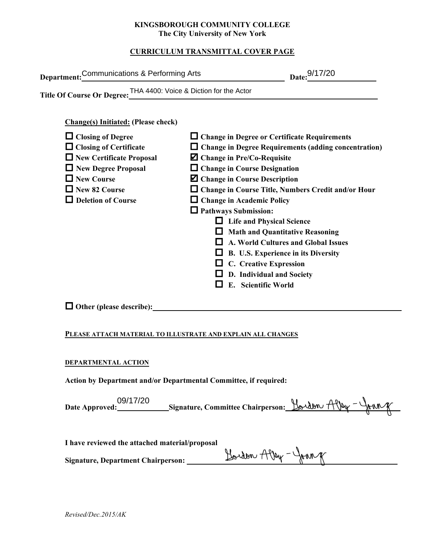#### **KINGSBOROUGH COMMUNITY COLLEGE The City University of New York**

# **CURRICULUM TRANSMITTAL COVER PAGE**

| Department: Communications & Performing Arts                                                                                                                                                                                                                       |                                                                                                                                                                                                                                                                                                                                                                                                                                                                                                                                                                                                                                                   | Date: 9/17/20                                                 |  |
|--------------------------------------------------------------------------------------------------------------------------------------------------------------------------------------------------------------------------------------------------------------------|---------------------------------------------------------------------------------------------------------------------------------------------------------------------------------------------------------------------------------------------------------------------------------------------------------------------------------------------------------------------------------------------------------------------------------------------------------------------------------------------------------------------------------------------------------------------------------------------------------------------------------------------------|---------------------------------------------------------------|--|
| Title Of Course Or Degree: THA 4400: Voice & Diction for the Actor                                                                                                                                                                                                 |                                                                                                                                                                                                                                                                                                                                                                                                                                                                                                                                                                                                                                                   |                                                               |  |
| <b>Change(s) Initiated: (Please check)</b><br>$\Box$ Closing of Degree<br>$\Box$ Closing of Certificate<br>New Certificate Proposal<br>New Degree Proposal<br>□ New Course<br>New 82 Course<br>$\Box$ Deletion of Course<br>$\Box$ Other (please describe): $\Box$ | $\Box$ Change in Degree or Certificate Requirements<br>$\Box$ Change in Degree Requirements (adding concentration)<br><b>Z</b> Change in Pre/Co-Requisite<br>$\Box$ Change in Course Designation<br><b>Z</b> Change in Course Description<br>□ Change in Course Title, Numbers Credit and/or Hour<br>$\Box$ Change in Academic Policy<br>$\Box$ Pathways Submission:<br>$\Box$ Life and Physical Science<br>$\Box$ Math and Quantitative Reasoning<br>$\Box$ A. World Cultures and Global Issues<br>$\Box$ B. U.S. Experience in its Diversity<br>$\Box$ C. Creative Expression<br>$\Box$ D. Individual and Society<br>$\Box$ E. Scientific World |                                                               |  |
| PLEASE ATTACH MATERIAL TO ILLUSTRATE AND EXPLAIN ALL CHANGES                                                                                                                                                                                                       |                                                                                                                                                                                                                                                                                                                                                                                                                                                                                                                                                                                                                                                   |                                                               |  |
| DEPARTMENTAL ACTION<br>Action by Department and/or Departmental Committee, if required:                                                                                                                                                                            |                                                                                                                                                                                                                                                                                                                                                                                                                                                                                                                                                                                                                                                   |                                                               |  |
| 09/17/20                                                                                                                                                                                                                                                           |                                                                                                                                                                                                                                                                                                                                                                                                                                                                                                                                                                                                                                                   | $H_{\text{other}}$ $AP_{\text{th}} = 1$ , and $P_{\text{th}}$ |  |

#### **PLEASE ATTACH MATERIAL TO ILLUSTRATE AND EXPLAIN ALL CHANGES**

#### **DEPARTMENTAL ACTION**

| 09/17/20<br>Date Approved: | Signature, Committee Chairperson: $\frac{1}{2}$ Above $\frac{1}{2}$ Above $\frac{1}{2}$ |  |  |
|----------------------------|-----------------------------------------------------------------------------------------|--|--|
|                            |                                                                                         |  |  |

**I have reviewed the attached material/proposal**

Signature, Department Chairperson: Holden Alley - Journ

*Revised/Dec.2015/AK*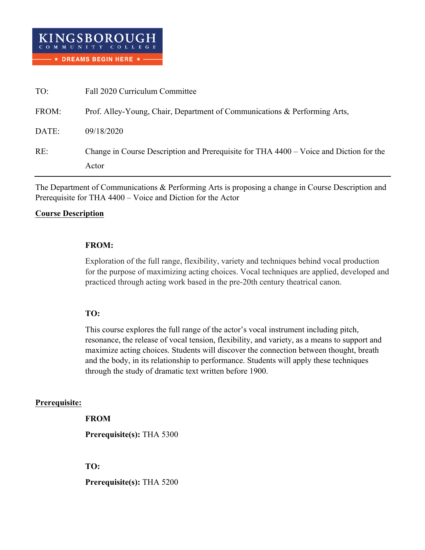| TO:   | Fall 2020 Curriculum Committee                                                                  |
|-------|-------------------------------------------------------------------------------------------------|
| FROM: | Prof. Alley-Young, Chair, Department of Communications & Performing Arts,                       |
| DATE: | 09/18/2020                                                                                      |
| RE:   | Change in Course Description and Prerequisite for THA 4400 – Voice and Diction for the<br>Actor |

The Department of Communications & Performing Arts is proposing a change in Course Description and Prerequisite for THA 4400 – Voice and Diction for the Actor

## **Course Description**

## **FROM:**

Exploration of the full range, flexibility, variety and techniques behind vocal production for the purpose of maximizing acting choices. Vocal techniques are applied, developed and practiced through acting work based in the pre-20th century theatrical canon.

# **TO:**

This course explores the full range of the actor's vocal instrument including pitch, resonance, the release of vocal tension, flexibility, and variety, as a means to support and maximize acting choices. Students will discover the connection between thought, breath and the body, in its relationship to performance. Students will apply these techniques through the study of dramatic text written before 1900.

## **Prerequisite:**

**FROM**

**Prerequisite(s):** THA 5300

# **TO:**

**Prerequisite(s):** THA 5200